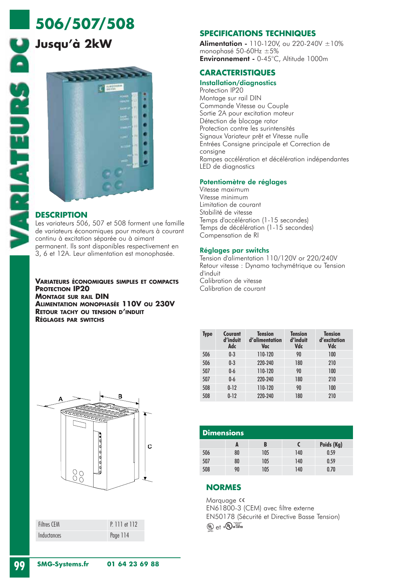### **506/507/508**

#### **Jusqu'à 2kW**



#### **DESCRIPTION**

Les variateurs 506, 507 et 508 forment une famille de variateurs économiques pour moteurs à courant continu à excitation séparée ou à aimant permanent. Ils sont disponibles respectivement en 3, 6 et 12A. Leur alimentation est monophasée.

**VARIATEURS ÉCONOMIQUES SIMPLES ET COMPACTS PROTECTION IP20 MONTAGE SUR RAIL DIN ALIMENTATION MONOPHASÉE 110V OU 230V RETOUR TACHY OU TENSION D'INDUIT RÉGLAGES PAR SWITCHS**



| <b>Filtres CFM</b> | P. 111 et 112 |
|--------------------|---------------|
| Inductances        | Page 114      |

#### **SPECIFICATIONS TECHNIQUES**

**Alimentation -** 110-120V, ou 220-240V  $\pm 10\%$ monophasé 50-60Hz ±5% Environnement - 0-45°C, Altitude 1000m

#### **CARACTERISTIQUES**

Installation/diagnostics Protection IP20 Montage sur rail DIN Commande Vitesse ou Couple Sortie 2A pour excitation moteur Détection de blocage rotor Protection contre les surintensités Signaux Variateur prêt et Vitesse nulle Entrées Consigne principale et Correction de consigne Rampes accélération et décélération indépendantes LED de diagnostics

#### Potentiomètre de réglages

Vitesse maximum Vitesse minimum Limitation de courant Stabilité de vitesse Temps d'accélération (1-15 secondes) Temps de décélération (1-15 secondes) Compensation de RI

#### Réglages par switchs

Tension d'alimentation 110/120V or 220/240V Retour vitesse : Dynamo tachymétrique ou Tension d'induit Calibration de vitesse Calibration de courant

| Type | Courant<br>d'induit<br>Adc | <b>Tension</b><br>d'alimentation<br>Vac | <b>Tension</b><br>d'induit<br>Vdc | Tension<br>d'excitation<br>Vdc |
|------|----------------------------|-----------------------------------------|-----------------------------------|--------------------------------|
| 506  | $0 - 3$                    | 110-120                                 | 90                                | 100                            |
| 506  | $0 - 3$                    | 220-240                                 | 180                               | 210                            |
| 507  | $0-6$                      | 110-120                                 | 90                                | 100                            |
| 507  | $0-6$                      | 220-240                                 | 180                               | 210                            |
| 508  | $0 - 12$                   | 110-120                                 | 90                                | 100                            |
| 508  | $0-12$                     | 220-240                                 | 180                               | 210                            |

| <b>Dimensions</b> |    |     |     |            |
|-------------------|----|-----|-----|------------|
|                   | A  | B   |     | Poids (Kg) |
| 506               | 80 | 105 | 140 | 0.59       |
| 507               | 80 | 105 | 140 | 0.59       |
| 508               | 90 | 105 | 140 | 0.70       |

#### **NORMES**

Marquage CE EN61800-3 (CEM) avec filtre externe EN50178 (Sécurité et Directive Basse Tension)  $(\mathbb{Q})$  et  $(\mathbb{Q})$  us using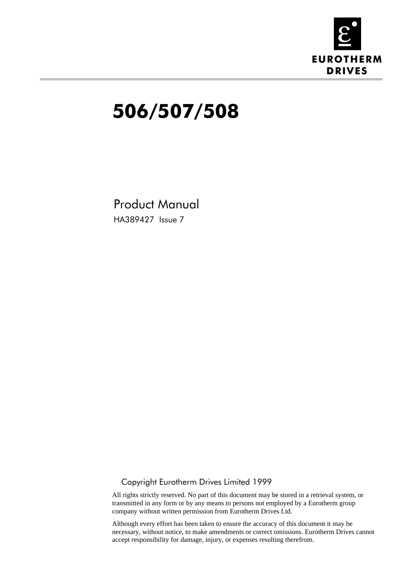

# 506/507/508

Product Manual HA389427 Issue 7

#### $@$  Copyright Eurotherm Drives Limited 1999

All rights strictly reserved. No part of this document may be stored in a retrieval system, or transmitted in any form or by any means to persons not employed by a Eurotherm group company without written permission from Eurotherm Drives Ltd.

Although every effort has been taken to ensure the accuracy of this document it may be necessary, without notice, to make amendments or correct omissions. Eurotherm Drives cannot accept responsibility for damage, injury, or expenses resulting therefrom.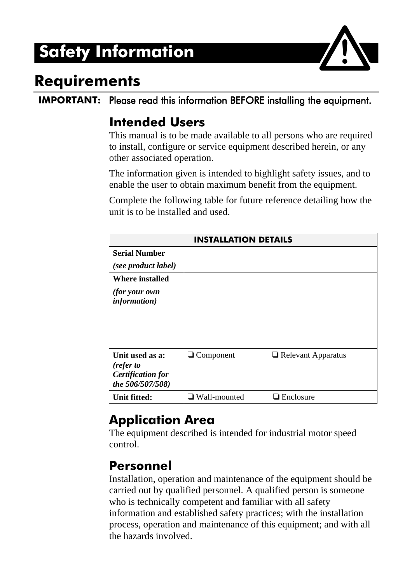# **Safety Information**



### Requirements

IMPORTANT: Please read this information BEFORE installing the equipment.

#### **Intended Users**

This manual is to be made available to all persons who are required to install, configure or service equipment described herein, or any other associated operation.

The information given is intended to highlight safety issues, and to enable the user to obtain maximum benefit from the equipment.

Complete the following table for future reference detailing how the unit is to be installed and used.

| <b>INSTALLATION DETAILS</b>                                                  |                     |                           |  |
|------------------------------------------------------------------------------|---------------------|---------------------------|--|
| <b>Serial Number</b><br>(see product label)                                  |                     |                           |  |
| <b>Where installed</b><br><i>(for your own)</i><br><i>information</i> )      |                     |                           |  |
| Unit used as a:<br>(refer to<br><b>Certification for</b><br>the 506/507/508) | $\Box$ Component    | $\Box$ Relevant Apparatus |  |
| <b>Unit fitted:</b>                                                          | $\Box$ Wall-mounted | $\Box$ Enclosure          |  |

#### **Application Area**

The equipment described is intended for industrial motor speed control.

#### Personnel

Installation, operation and maintenance of the equipment should be carried out by qualified personnel. A qualified person is someone who is technically competent and familiar with all safety information and established safety practices; with the installation process, operation and maintenance of this equipment; and with all the hazards involved.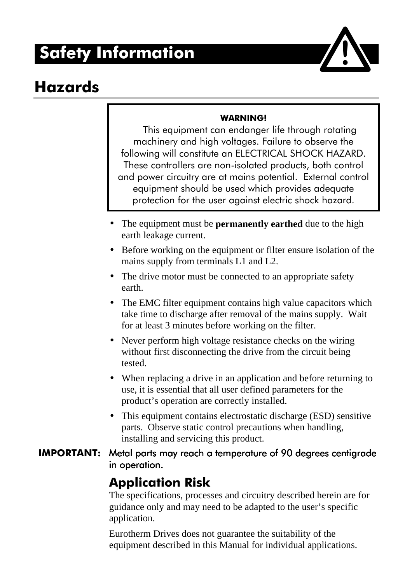# Safety Information



### **Hazards**

#### WARNING!

This equipment can endanger life through rotating machinery and high voltages. Failure to observe the following will constitute an ELECTRICAL SHOCK HAZARD. These controllers are non-isolated products, both control and power circuitry are at mains potential. External control equipment should be used which provides adequate protection for the user against electric shock hazard.

- The equipment must be **permanently earthed** due to the high earth leakage current.
- Before working on the equipment or filter ensure isolation of the mains supply from terminals L1 and L2.
- The drive motor must be connected to an appropriate safety earth.
- The EMC filter equipment contains high value capacitors which take time to discharge after removal of the mains supply. Wait for at least 3 minutes before working on the filter.
- Never perform high voltage resistance checks on the wiring without first disconnecting the drive from the circuit being tested.
- When replacing a drive in an application and before returning to use, it is essential that all user defined parameters for the product's operation are correctly installed.
- This equipment contains electrostatic discharge (ESD) sensitive parts. Observe static control precautions when handling, installing and servicing this product.
- **IMPORTANT:** Metal parts may reach a temperature of 90 degrees centigrade in operation.

#### **Application Risk**

The specifications, processes and circuitry described herein are for guidance only and may need to be adapted to the user's specific application.

Eurotherm Drives does not guarantee the suitability of the equipment described in this Manual for individual applications.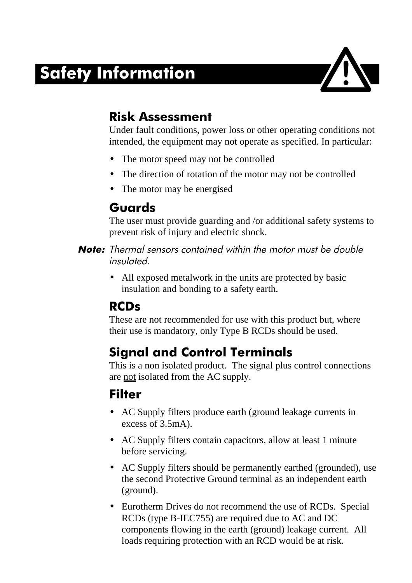# Safety Information



#### Risk Assessment

Under fault conditions, power loss or other operating conditions not intended, the equipment may not operate as specified. In particular:

- The motor speed may not be controlled
- The direction of rotation of the motor may not be controlled
- The motor may be energised

#### Guards

The user must provide guarding and /or additional safety systems to prevent risk of injury and electric shock.

- Note: Thermal sensors contained within the motor must be double  $insulated$ 
	- All exposed metalwork in the units are protected by basic insulation and bonding to a safety earth.

#### RCD<sub>s</sub>

These are not recommended for use with this product but, where their use is mandatory, only Type B RCDs should be used.

### **Signal and Control Terminals**

This is a non isolated product. The signal plus control connections are not isolated from the AC supply.

#### **Filter**

- AC Supply filters produce earth (ground leakage currents in excess of 3.5mA).
- AC Supply filters contain capacitors, allow at least 1 minute before servicing.
- AC Supply filters should be permanently earthed (grounded), use the second Protective Ground terminal as an independent earth (ground).
- Eurotherm Drives do not recommend the use of RCDs. Special RCDs (type B-IEC755) are required due to AC and DC components flowing in the earth (ground) leakage current. All loads requiring protection with an RCD would be at risk.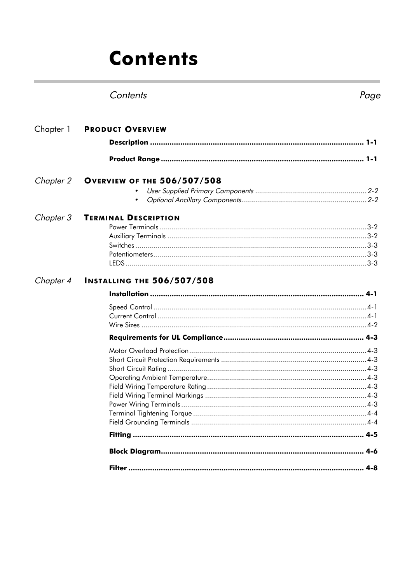# Contents

#### Contents Page

| Chapter 1 | <b>PRODUCT OVERVIEW</b>            |
|-----------|------------------------------------|
|           |                                    |
|           |                                    |
| Chapter 2 | <b>OVERVIEW OF THE 506/507/508</b> |
|           |                                    |
|           |                                    |
| Chapter 3 | <b>TERMINAL DESCRIPTION</b>        |
|           |                                    |
|           |                                    |
|           |                                    |
|           |                                    |
|           |                                    |
| Chapter 4 | <b>INSTALLING THE 506/507/508</b>  |
|           |                                    |
|           |                                    |
|           |                                    |
|           |                                    |
|           |                                    |
|           |                                    |
|           |                                    |
|           |                                    |
|           |                                    |
|           |                                    |
|           |                                    |
|           |                                    |
|           |                                    |
|           |                                    |
|           |                                    |
|           |                                    |
|           |                                    |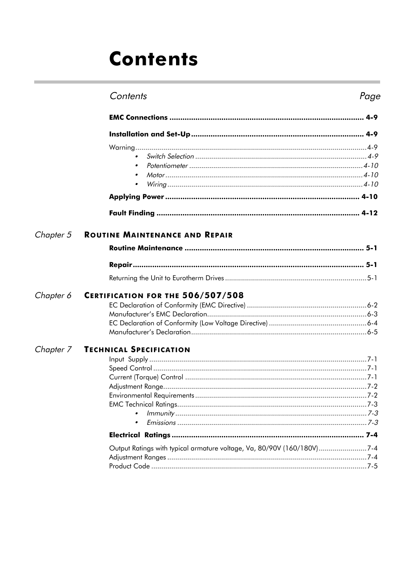# Contents

#### Contents Page

|           | $\bullet$                             |
|-----------|---------------------------------------|
|           | $\bullet$                             |
|           |                                       |
|           |                                       |
|           |                                       |
| Chapter 5 | <b>ROUTINE MAINTENANCE AND REPAIR</b> |
|           |                                       |
|           |                                       |
|           |                                       |
| Chapter 6 | CERTIFICATION FOR THE 506/507/508     |
|           |                                       |
|           |                                       |
|           |                                       |
|           |                                       |
| Chapter 7 | <b>TECHNICAL SPECIFICATION</b>        |
|           |                                       |
|           |                                       |
|           |                                       |
|           |                                       |
|           |                                       |
|           |                                       |
|           |                                       |
|           |                                       |
|           |                                       |

| Output Ratings with typical armature voltage, Va, 80/90V (160/180V)7-4 |  |
|------------------------------------------------------------------------|--|
|                                                                        |  |
|                                                                        |  |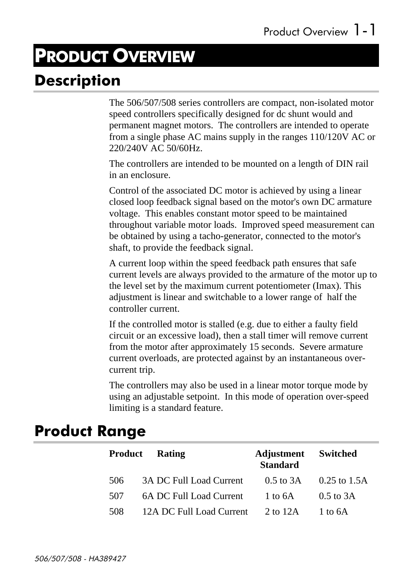# **PRODUCT OVERVIEW**

### Description

The 506/507/508 series controllers are compact, non-isolated motor speed controllers specifically designed for dc shunt would and permanent magnet motors. The controllers are intended to operate from a single phase AC mains supply in the ranges 110/120V AC or 220/240V AC 50/60Hz.

The controllers are intended to be mounted on a length of DIN rail in an enclosure.

Control of the associated DC motor is achieved by using a linear closed loop feedback signal based on the motor's own DC armature voltage. This enables constant motor speed to be maintained throughout variable motor loads. Improved speed measurement can be obtained by using a tacho-generator, connected to the motor's shaft, to provide the feedback signal.

A current loop within the speed feedback path ensures that safe current levels are always provided to the armature of the motor up to the level set by the maximum current potentiometer (Imax). This adjustment is linear and switchable to a lower range of half the controller current.

If the controlled motor is stalled (e.g. due to either a faulty field circuit or an excessive load), then a stall timer will remove current from the motor after approximately 15 seconds. Severe armature current overloads, are protected against by an instantaneous overcurrent trip.

The controllers may also be used in a linear motor torque mode by using an adjustable setpoint. In this mode of operation over-speed limiting is a standard feature.

#### **Product Range**

|     | <b>Product</b> Rating    | <b>Adjustment</b> Switched<br><b>Standard</b> |                                              |
|-----|--------------------------|-----------------------------------------------|----------------------------------------------|
| 506 | 3A DC Full Load Current  |                                               | $0.5 \text{ to } 3A$ $0.25 \text{ to } 1.5A$ |
| 507 | 6A DC Full Load Current  | 1 to $6A$                                     | $0.5$ to 3A                                  |
| 508 | 12A DC Full Load Current | 2 to 12A                                      | $1$ to 6A                                    |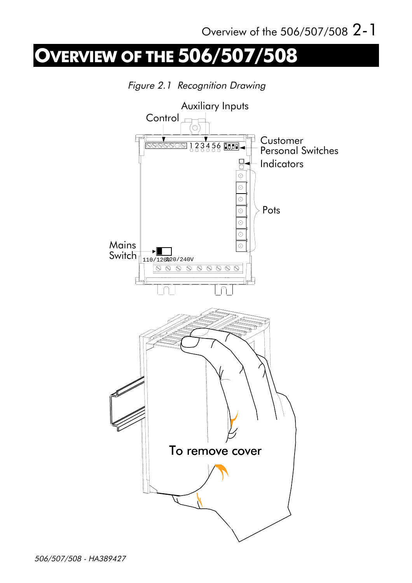# **OVERVIEW OF THE 506/507/508**

Figure 2.1 Recognition Drawing

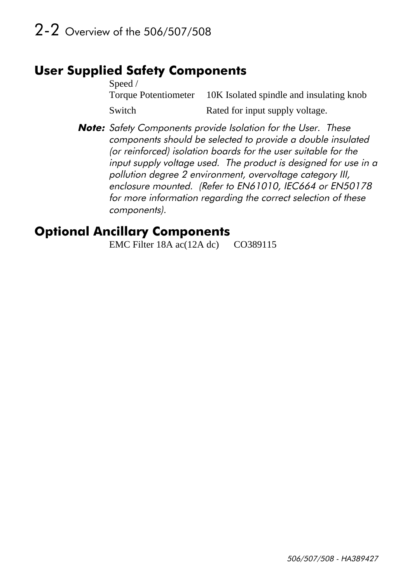#### **User Supplied Safety Components**

Speed / Torque Potentiometer 10K Isolated spindle and insulating knob Switch Rated for input supply voltage.

Note: Safety Components provide Isolation for the User. These components should be selected to provide a double insulated (or reinforced) isolation boards for the user suitable for the input supply voltage used. The product is designed for use in a pollution degree 2 environment, overvoltage category III, enclosure mounted. (Refer to EN61010, IEC664 or EN50178) for more information regarding the correct selection of these components).

#### **Optional Ancillary Components**

EMC Filter 18A ac(12A dc) CO389115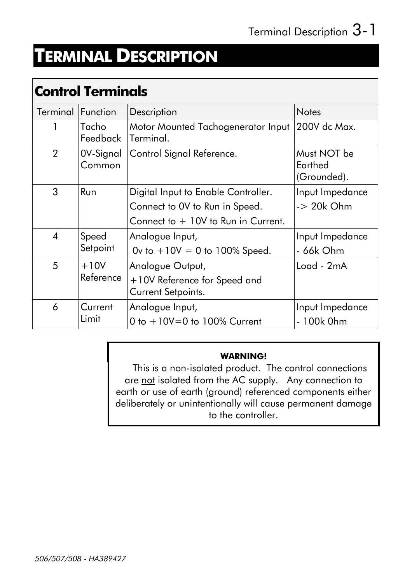# **TERMINAL DESCRIPTION**

### **Control Terminals**

| Terminal I     | <b>Function</b>     | Description                                                                                                   | <b>Notes</b>                                  |
|----------------|---------------------|---------------------------------------------------------------------------------------------------------------|-----------------------------------------------|
|                | Tacho<br>Feedback   | Motor Mounted Tachogenerator Input<br>Terminal.                                                               | 200V dc Max.                                  |
| $\overline{2}$ | 0V-Signal<br>Common | Control Signal Reference.                                                                                     | Must NOT be<br>Earthed<br>(Grounded).         |
| 3              | <b>Run</b>          | Digital Input to Enable Controller.<br>Connect to OV to Run in Speed.<br>Connect to $+10V$ to Run in Current. | Input Impedance<br>$-$ 20 $k$ Ohm             |
| $\overline{4}$ | Speed<br>Setpoint   | Analogue Input,<br>Ov to $+10V = 0$ to 100% Speed.                                                            | Input Impedance<br>- 66k Ohm                  |
| 5              | $+10V$<br>Reference | Analogue Output,<br>+10V Reference for Speed and<br>Current Setpoints.                                        | $Load - 2mA$                                  |
| 6              | Current<br>Limit    | Analogue Input,<br>0 to $+10V=0$ to 100% Current                                                              | Input Impedance<br>100k 0hm<br>$\overline{a}$ |

#### **WARNING!**

This is a non-isolated product. The control connections are not isolated from the AC supply. Any connection to earth or use of earth (ground) referenced components either deliberately or unintentionally will cause permanent damage to the controller.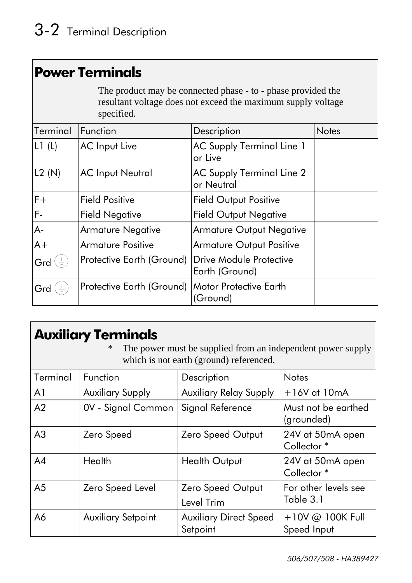#### **Power Terminals**

The product may be connected phase - to - phase provided the resultant voltage does not exceed the maximum supply voltage specified.

| Terminal | Function                  | Description                                      | <b>Notes</b> |
|----------|---------------------------|--------------------------------------------------|--------------|
| L1(L)    | <b>AC</b> Input Live      | <b>AC Supply Terminal Line 1</b><br>or Live      |              |
| L2(N)    | <b>AC Input Neutral</b>   | <b>AC Supply Terminal Line 2</b><br>or Neutral   |              |
| $F +$    | <b>Field Positive</b>     | <b>Field Output Positive</b>                     |              |
| F-       | <b>Field Negative</b>     | <b>Field Output Negative</b>                     |              |
| A-       | <b>Armature Negative</b>  | <b>Armature Output Negative</b>                  |              |
| $A+$     | <b>Armature Positive</b>  | <b>Armature Output Positive</b>                  |              |
| Grd      | Protective Earth (Ground) | <b>Drive Module Protective</b><br>Earth (Ground) |              |
| Grd      | Protective Earth (Ground) | Motor Protective Earth<br>(Ground)               |              |

#### **Auxiliary Terminals**

\* The power must be supplied from an independent power supply which is not earth (ground) referenced.

| Terminal       | Function                  | Description                               | <b>Notes</b>                               |
|----------------|---------------------------|-------------------------------------------|--------------------------------------------|
| A <sub>1</sub> | <b>Auxiliary Supply</b>   | <b>Auxiliary Relay Supply</b>             | $+16V$ at $10mA$                           |
| A <sub>2</sub> | 0V - Signal Common        | Signal Reference                          | Must not be earthed<br>(grounded)          |
| A <sub>3</sub> | Zero Speed                | <b>Zero Speed Output</b>                  | 24V at 50mA open<br>Collector <sup>*</sup> |
| A <sub>4</sub> | Health                    | <b>Health Output</b>                      | 24V at 50mA open<br>Collector <sup>*</sup> |
| A <sub>5</sub> | Zero Speed Level          | Zero Speed Output<br>Level Trim           | For other levels see<br>Table 3.1          |
| A6             | <b>Auxiliary Setpoint</b> | <b>Auxiliary Direct Speed</b><br>Setpoint | +10V @ 100K Full<br>Speed Input            |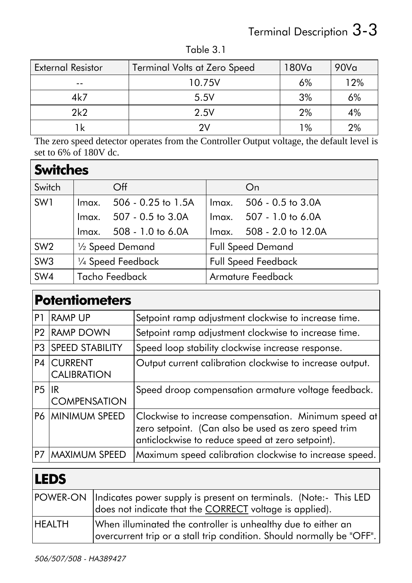# Terminal Description 3-3

| <b>External Resistor</b><br><b>Terminal Volts at Zero Speed</b> |        | 180Va | 90V <sub>a</sub> |
|-----------------------------------------------------------------|--------|-------|------------------|
| --                                                              | 10.75V | 6%    | 12%              |
| 4k7                                                             | 5.5V   | 3%    | 6%               |
| 2k2                                                             | 2.5V   | 2%    | 4%               |
| 1k                                                              |        | 1%    | 2%               |

Table 3.1

The zero speed detector operates from the Controller Output voltage, the default level is set to 6% of 180V dc.

#### **Switches**

| Switch          | $\overline{Off}$            | On                             |  |
|-----------------|-----------------------------|--------------------------------|--|
| SW1             | 506 - 0.25 to 1.5A<br>Imax. | $506 - 0.5$ to $3.0A$<br>lmax. |  |
|                 | 507 - 0.5 to 3.0A<br>Imax.  | Imax. 507 - 1.0 to 6.0A        |  |
|                 | Imax. 508 - 1.0 to 6.0A     | Imax. 508 - 2.0 to 12.0A       |  |
| SW <sub>2</sub> | 1/2 Speed Demand            | <b>Full Speed Demand</b>       |  |
| SW <sub>3</sub> | 1/4 Speed Feedback          | <b>Full Speed Feedback</b>     |  |
| SW4             | Tacho Feedback              | <b>Armature Feedback</b>       |  |

|                | <b>Potentiometers</b>                |                                                                                                                                                                 |  |  |
|----------------|--------------------------------------|-----------------------------------------------------------------------------------------------------------------------------------------------------------------|--|--|
| P1             | <b>RAMP UP</b>                       | Setpoint ramp adjustment clockwise to increase time.                                                                                                            |  |  |
| P <sub>2</sub> | <b>RAMP DOWN</b>                     | Setpoint ramp adjustment clockwise to increase time.                                                                                                            |  |  |
| P <sub>3</sub> | <b>SPEED STABILITY</b>               | Speed loop stability clockwise increase response.                                                                                                               |  |  |
| P4             | <b>CURRENT</b><br><b>CALIBRATION</b> | Output current calibration clockwise to increase output.                                                                                                        |  |  |
| <b>P5</b>      | IR<br><b>COMPENSATION</b>            | Speed droop compensation armature voltage feedback.                                                                                                             |  |  |
| P6             | <b>MINIMUM SPEED</b>                 | Clockwise to increase compensation. Minimum speed at<br>zero setpoint. (Can also be used as zero speed trim<br>anticlockwise to reduce speed at zero setpoint). |  |  |
| P7             | <b>MAXIMUM SPEED</b>                 | Maximum speed calibration clockwise to increase speed.                                                                                                          |  |  |

### LEDS

|               | POWER-ON   Indicates power supply is present on terminals. (Note:- This LED<br>does not indicate that the CORRECT voltage is applied). |
|---------------|----------------------------------------------------------------------------------------------------------------------------------------|
| <b>HEALTH</b> | When illuminated the controller is unhealthy due to either an<br>overcurrent trip or a stall trip condition. Should normally be "OFF". |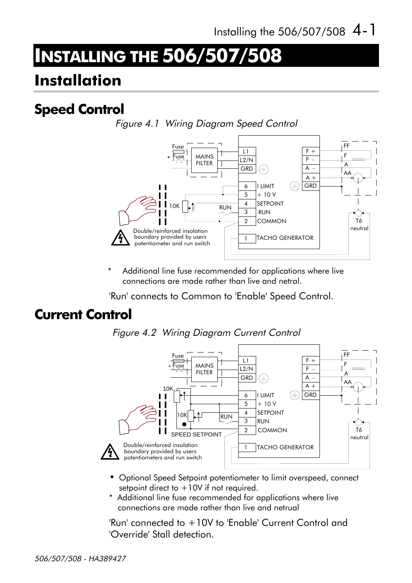# **INSTALLING THE 506/507/508**

### **Installation**

### **Speed Control**

Figure 4.1 Wiring Diagram Speed Control



Additional line fuse recommended for applications where live connections are made rather than live and netral.

'Run' connects to Common to 'Enable' Speed Control.

#### **Current Control**





- Optional Speed Setpoint potentiometer to limit overspeed, connect setpoint direct to  $+10V$  if not required.
- \* Additional line fuse recommended for applications where live connections are made rather than live and netrual

'Run' connected to +10V to 'Enable' Current Control and 'Override' Stall detection.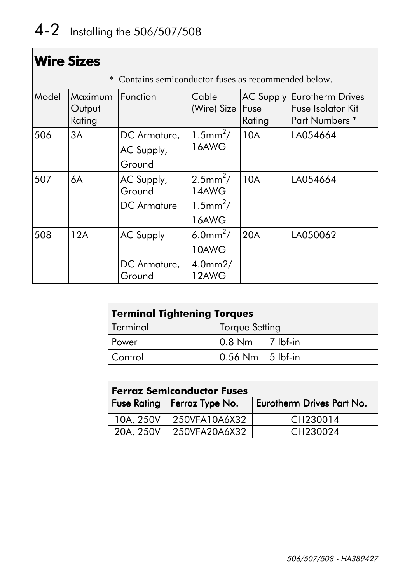|       | <b>Wire Sizes</b>           |                                                    |                                                                      |                             |                                                                                  |
|-------|-----------------------------|----------------------------------------------------|----------------------------------------------------------------------|-----------------------------|----------------------------------------------------------------------------------|
|       | $\ast$                      | Contains semiconductor fuses as recommended below. |                                                                      |                             |                                                                                  |
| Model | Maximum<br>Output<br>Rating | Function                                           | Cable<br>(Wire) Size                                                 | AC Supply<br>Fuse<br>Rating | <b>Eurotherm Drives</b><br><b>Fuse Isolator Kit</b><br>Part Numbers <sup>*</sup> |
| 506   | 3A                          | DC Armature,<br>AC Supply,<br>Ground               | $1.5$ mm <sup>2</sup> /<br>16AWG                                     | 10A                         | LA054664                                                                         |
| 507   | 6A                          | AC Supply,<br>Ground<br><b>DC</b> Armature         | $2.5$ mm <sup>2</sup> /<br>14AWG<br>$1.5$ mm <sup>2</sup> /<br>16AWG | 10A                         | LA054664                                                                         |
| 508   | 12A                         | <b>AC Supply</b><br>DC Armature,<br>Ground         | 6.0mm <sup>2</sup> /<br>10AWG<br>$4.0$ mm $2/$<br>12AWG              | 20A                         | LA050062                                                                         |

| <b>Terminal Tightening Torques</b> |                                                |  |  |
|------------------------------------|------------------------------------------------|--|--|
| Terminal                           | Torque Setting                                 |  |  |
| Power                              | $\vert 0.8 \text{ Nm} \vert 7 \text{ lbf-in}$  |  |  |
| Control                            | $\vert 0.56 \text{ Nm} \vert 5 \text{ lbf-in}$ |  |  |

| <b>Ferraz Semiconductor Fuses</b> |                               |                           |  |
|-----------------------------------|-------------------------------|---------------------------|--|
|                                   | Fuse Rating   Ferraz Type No. | Eurotherm Drives Part No. |  |
| 10A, 250V                         | 250VFA10A6X32                 | CH230014                  |  |
| 20A, 250V                         | 250VFA20A6X32                 | CH <sub>230024</sub>      |  |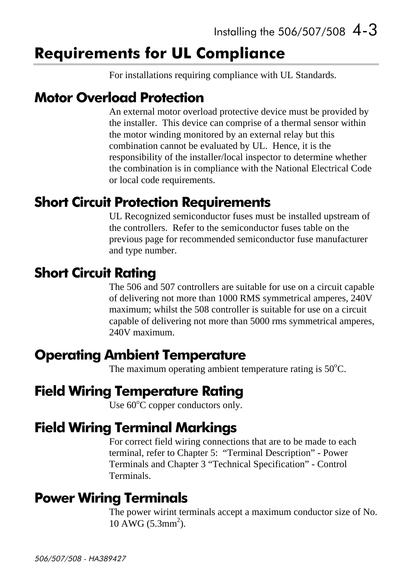### **Requirements for UL Compliance**

For installations requiring compliance with UL Standards.

#### **Motor Overload Protection**

An external motor overload protective device must be provided by the installer. This device can comprise of a thermal sensor within the motor winding monitored by an external relay but this combination cannot be evaluated by UL. Hence, it is the responsibility of the installer/local inspector to determine whether the combination is in compliance with the National Electrical Code or local code requirements.

#### **Short Circuit Protection Requirements**

UL Recognized semiconductor fuses must be installed upstream of the controllers. Refer to the semiconductor fuses table on the previous page for recommended semiconductor fuse manufacturer and type number.

#### **Short Circuit Rating**

The 506 and 507 controllers are suitable for use on a circuit capable of delivering not more than 1000 RMS symmetrical amperes, 240V maximum; whilst the 508 controller is suitable for use on a circuit capable of delivering not more than 5000 rms symmetrical amperes, 240V maximum.

#### **Operating Ambient Temperature**

The maximum operating ambient temperature rating is  $50^{\circ}$ C.

#### **Field Wiring Temperature Rating**

Use  $60^{\circ}$ C copper conductors only.

#### **Field Wiring Terminal Markings**

For correct field wiring connections that are to be made to each terminal, refer to Chapter 5: "Terminal Description" - Power Terminals and Chapter 3 "Technical Specification" - Control Terminals.

#### **Power Wiring Terminals**

The power wirint terminals accept a maximum conductor size of No.  $10$  AWG (5.3mm<sup>2</sup>).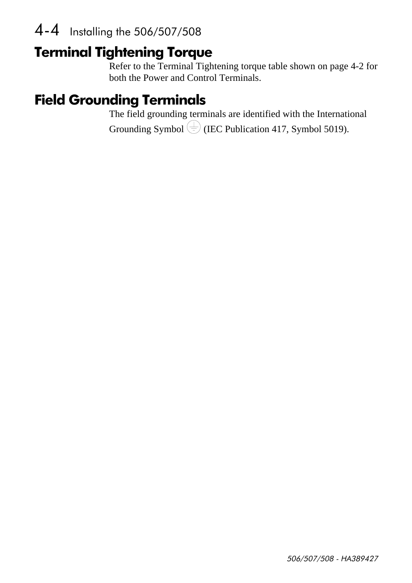#### 4-4 Installing the 506/507/508

### **Terminal Tightening Torque**

Refer to the Terminal Tightening torque table shown on page 4-2 for both the Power and Control Terminals.

### **Field Grounding Terminals**

The field grounding terminals are identified with the International Grounding Symbol  $\bigoplus$  (IEC Publication 417, Symbol 5019).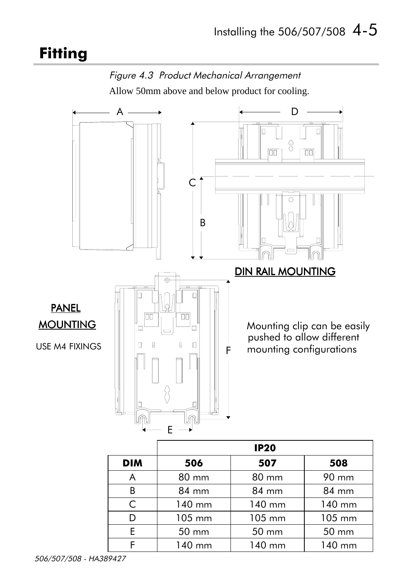### **Fitting**



Allow 50mm above and below product for cooling.



105 mm

50 mm

140 mm

105 mm

50 mm

140 mm

105 mm

50 mm

140 mm

D

E

F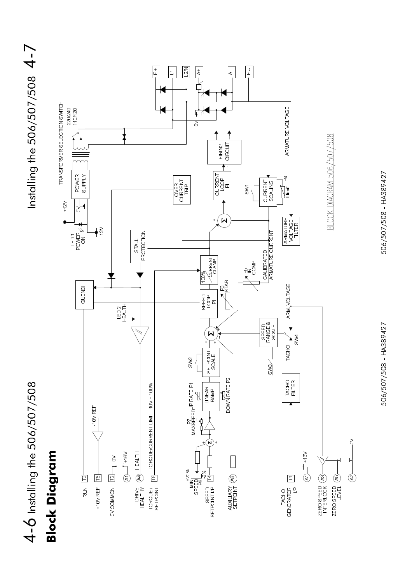

506/507/508 - HA389427

506/507/508 - HA389427

Installing the 506/507/508  $4 - 7$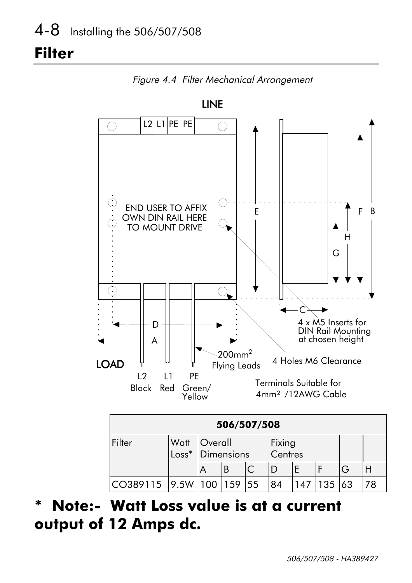### **Filter**



Figure 4.4 Filter Mechanical Arrangement

#### **Note:- Watt Loss value is at a current**  $\ast$ output of 12 Amps dc.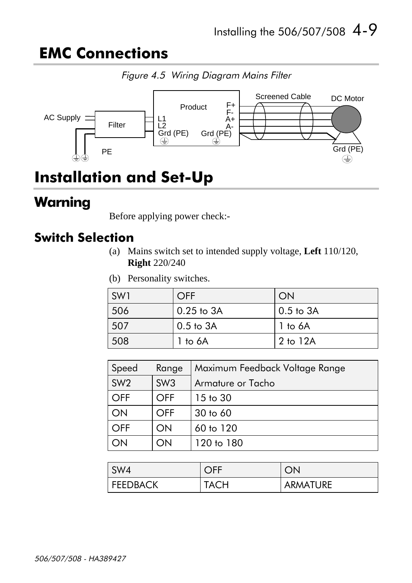### **EMC Connections**



### Installation and Set-Up

### Warning

Before applying power check:-

#### **Switch Selection**

- (a) Mains switch set to intended supply voltage, **Left** 110/120, **Right** 220/240
- (b) Personality switches.

| SW1 | OFF            | ON            |
|-----|----------------|---------------|
| 506 | $0.25$ to $3A$ | $0.5$ to $3A$ |
| 507 | $0.5$ to $3A$  | $1$ to $6A$   |
| 508 | 1 to 6A        | 2 to 12A      |

| Speed           | Range           | Maximum Feedback Voltage Range |
|-----------------|-----------------|--------------------------------|
| SW <sub>2</sub> | SW <sub>3</sub> | Armature or Tacho              |
| <b>OFF</b>      | <b>OFF</b>      | $15$ to $30$                   |
| ON              | <b>OFF</b>      | $30$ to $60$                   |
| <b>OFF</b>      | ON              | 60 to 120                      |
|                 | ON              | 120 to 180                     |

| $\sqrt{\text{SW4}}$ | $\bigcap$ EE |          |
|---------------------|--------------|----------|
| <b>FEEDBACK</b>     | <b>TACH</b>  | ARMATURE |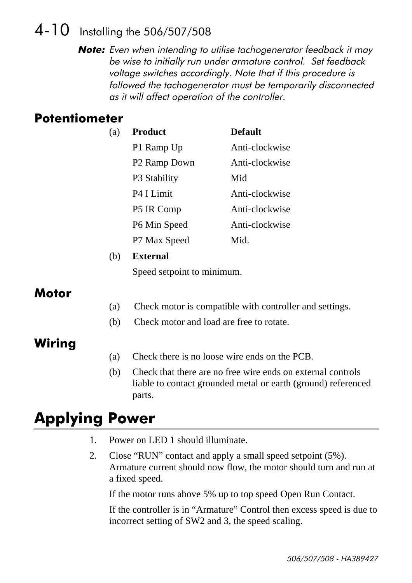#### 4-10 Installing the 506/507/508

**Note:** Even when intending to utilise tachogenerator feedback it may be wise to initially run under armature control. Set feedback voltage switches accordingly. Note that if this procedure is followed the tachogenerator must be temporarily disconnected as it will affect operation of the controller.

#### **Potentiometer**

| (a) | <b>Product</b>           | <b>Default</b> |
|-----|--------------------------|----------------|
|     | P1 Ramp Up               | Anti-clockwise |
|     | P <sub>2</sub> Ramp Down | Anti-clockwise |
|     | P3 Stability             | Mid            |
|     | P4 I Limit               | Anti-clockwise |
|     | P5 IR Comp               | Anti-clockwise |
|     | P6 Min Speed             | Anti-clockwise |
|     | P7 Max Speed             | Mid.           |

#### (b) **External**

Speed setpoint to minimum.

#### Motor

- (a) Check motor is compatible with controller and settings.
- (b) Check motor and load are free to rotate.

#### Wiring

- (a) Check there is no loose wire ends on the PCB.
- (b) Check that there are no free wire ends on external controls liable to contact grounded metal or earth (ground) referenced parts.

### **Applying Power**

- 1. Power on LED 1 should illuminate.
- 2. Close "RUN" contact and apply a small speed setpoint (5%). Armature current should now flow, the motor should turn and run at a fixed speed.

If the motor runs above 5% up to top speed Open Run Contact.

If the controller is in "Armature" Control then excess speed is due to incorrect setting of SW2 and 3, the speed scaling.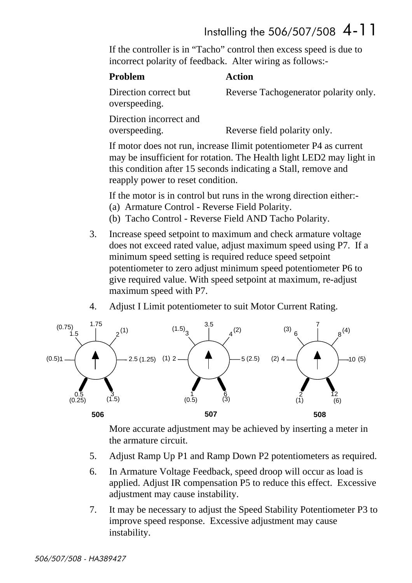#### Installing the 506/507/508  $4-11$

If the controller is in "Tacho" control then excess speed is due to incorrect polarity of feedback. Alter wiring as follows:-

#### **Action**

Direction correct but Reverse Tachogenerator polarity only.

overspeeding.

Direction incorrect and overspeeding. Reverse field polarity only.

If motor does not run, increase Ilimit potentiometer P4 as current may be insufficient for rotation. The Health light LED2 may light in this condition after 15 seconds indicating a Stall, remove and reapply power to reset condition.

If the motor is in control but runs in the wrong direction either:-

- (a) Armature Control Reverse Field Polarity.
- (b) Tacho Control Reverse Field AND Tacho Polarity.
- 3. Increase speed setpoint to maximum and check armature voltage does not exceed rated value, adjust maximum speed using P7. If a minimum speed setting is required reduce speed setpoint potentiometer to zero adjust minimum speed potentiometer P6 to give required value. With speed setpoint at maximum, re-adjust maximum speed with P7.
- 4. Adjust I Limit potentiometer to suit Motor Current Rating.



More accurate adjustment may be achieved by inserting a meter in the armature circuit.

- 5. Adjust Ramp Up P1 and Ramp Down P2 potentiometers as required.
- 6. In Armature Voltage Feedback, speed droop will occur as load is applied. Adjust IR compensation P5 to reduce this effect. Excessive adjustment may cause instability.
- 7. It may be necessary to adjust the Speed Stability Potentiometer P3 to improve speed response. Excessive adjustment may cause instability.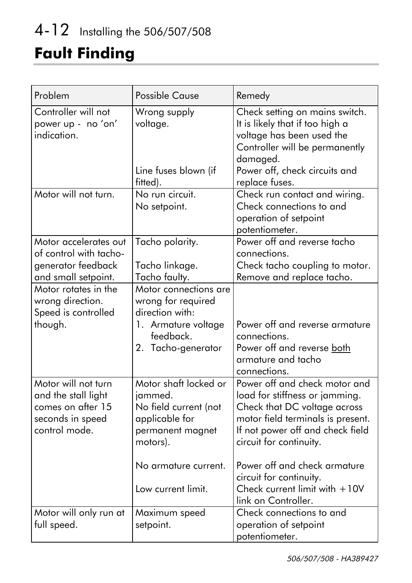# 4-12 Installing the 506/507/508

## **Fault Finding**

| Problem                                                                                              | <b>Possible Cause</b>                                                                                                                                     | Remedy                                                                                                                                                                                                                                                                                                                   |
|------------------------------------------------------------------------------------------------------|-----------------------------------------------------------------------------------------------------------------------------------------------------------|--------------------------------------------------------------------------------------------------------------------------------------------------------------------------------------------------------------------------------------------------------------------------------------------------------------------------|
| Controller will not<br>power up - no 'on'<br>indication.                                             | Wrong supply<br>voltage.<br>Line fuses blown (if<br>fitted).                                                                                              | Check setting on mains switch.<br>It is likely that if too high a<br>voltage has been used the<br>Controller will be permanently<br>damaged.<br>Power off, check circuits and<br>replace fuses.                                                                                                                          |
| Motor will not turn.                                                                                 | No run circuit.<br>No setpoint.                                                                                                                           | Check run contact and wiring.<br>Check connections to and<br>operation of setpoint<br>potentiometer.                                                                                                                                                                                                                     |
| Motor accelerates out<br>of control with tacho-<br>generator feedback<br>and small setpoint.         | Tacho polarity.<br>Tacho linkage.<br>Tacho faulty.                                                                                                        | Power off and reverse tacho<br>connections.<br>Check tacho coupling to motor.<br>Remove and replace tacho.                                                                                                                                                                                                               |
| Motor rotates in the<br>wrong direction.<br>Speed is controlled<br>though.                           | Motor connections are<br>wrong for required<br>direction with:<br>1. Armature voltage<br>feedback.<br>2. Tacho-generator                                  | Power off and reverse armature<br>connections.<br>Power off and reverse both<br>armature and tacho<br>connections.                                                                                                                                                                                                       |
| Motor will not turn<br>and the stall light<br>comes on after 15<br>seconds in speed<br>control mode. | Motor shaft locked or<br>jammed.<br>No field current (not<br>applicable for<br>permanent magnet<br>motors).<br>No armature current.<br>Low current limit. | Power off and check motor and<br>load for stiffness or jamming.<br>Check that DC voltage across<br>motor field terminals is present.<br>If not power off and check field<br>circuit for continuity.<br>Power off and check armature<br>circuit for continuity.<br>Check current limit with $+10V$<br>link on Controller. |
| Motor will only run at<br>full speed.                                                                | Maximum speed<br>setpoint.                                                                                                                                | Check connections to and<br>operation of setpoint<br>potentiometer.                                                                                                                                                                                                                                                      |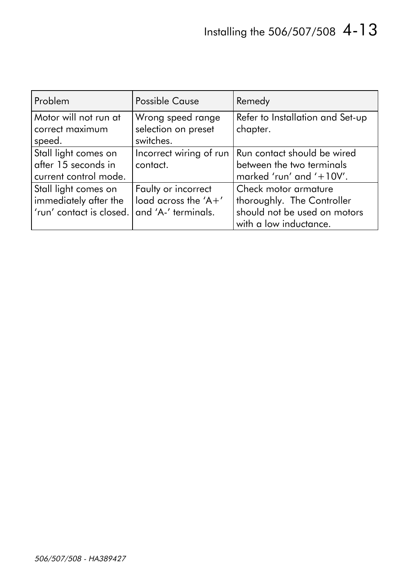| Problem                  | <b>Possible Cause</b>   | Remedy                           |
|--------------------------|-------------------------|----------------------------------|
| Motor will not run at    | Wrong speed range       | Refer to Installation and Set-up |
| correct maximum          | selection on preset     | chapter.                         |
| speed.                   | switches.               |                                  |
| Stall light comes on     | Incorrect wiring of run | Run contact should be wired      |
| after 15 seconds in      | contact.                | between the two terminals        |
| current control mode.    |                         | marked 'run' and '+10V'.         |
| Stall light comes on     | Faulty or incorrect     | Check motor armature             |
| immediately after the    | load across the 'A+'    | thoroughly. The Controller       |
| 'run' contact is closed. | and 'A-' terminals.     | should not be used on motors     |
|                          |                         | with a low inductance.           |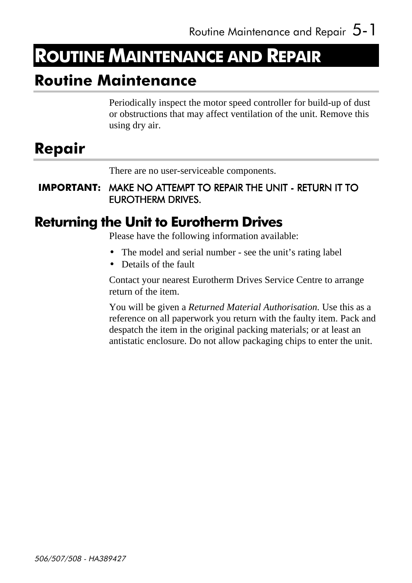### **ROUTINE MAINTENANCE AND REPAIR**

### **Routine Maintenance**

Periodically inspect the motor speed controller for build-up of dust or obstructions that may affect ventilation of the unit. Remove this using dry air.

### Repair

There are no user-serviceable components.

**IMPORTANT:** MAKE NO ATTEMPT TO REPAIR THE UNIT - RETURN IT TO EUROTHERM DRIVES.

#### **Returning the Unit to Eurotherm Drives**

Please have the following information available:

- The model and serial number see the unit's rating label
- Details of the fault

Contact your nearest Eurotherm Drives Service Centre to arrange return of the item.

You will be given a *Returned Material Authorisation.* Use this as a reference on all paperwork you return with the faulty item. Pack and despatch the item in the original packing materials; or at least an antistatic enclosure. Do not allow packaging chips to enter the unit.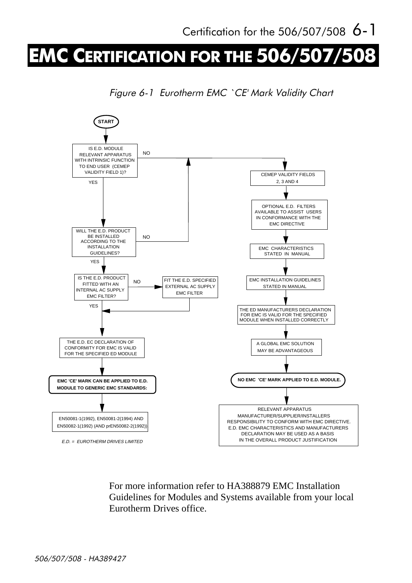# **EMC CERTIFICATION FOR THE 506/507/**

Figure 6-1 Eurotherm EMC `CE' Mark Validity Chart



For more information refer to HA388879 EMC Installation Guidelines for Modules and Systems available from your local Eurotherm Drives office.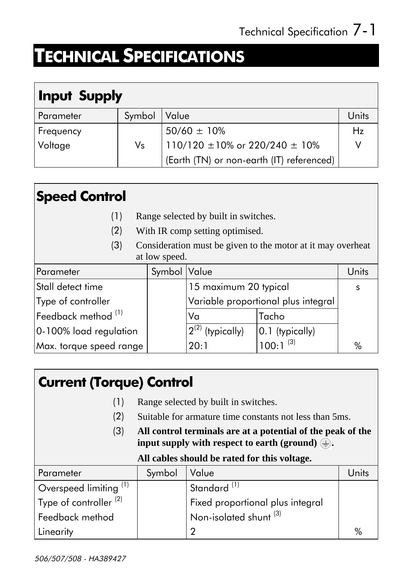# **TECHNICAL SPECIFICATIONS**

### **Input Supply**

| Parameter   | Symbol      | Value                                     | Units |
|-------------|-------------|-------------------------------------------|-------|
| ∣ Freq∪ency |             | $50/60 \pm 10\%$                          | Hz    |
| Voltage     | $V_{\rm S}$ | $110/120 \pm 10\%$ or 220/240 $\pm$ 10%   |       |
|             |             | (Earth (TN) or non-earth (IT) referenced) |       |

### **Speed Control**

- $(1)$ Range selected by built in switches.
- $(2)$ With IR comp setting optimised.
- $(3)$ Consideration must be given to the motor at it may overheat at low speed.

| Parameter                               | Symbol Value |                                     | Units           |      |
|-----------------------------------------|--------------|-------------------------------------|-----------------|------|
| Stall detect time                       |              | 15 maximum 20 typical               |                 |      |
| Type of controller                      |              | Variable proportional plus integral |                 |      |
| $ $ Feedback method $^{\left(1\right)}$ |              | Va                                  | Tacho           |      |
| 0-100% load regulation                  |              | $12^{(2)}$ (typically)              | 0.1 (typically) |      |
| Max. torque speed range                 |              | 20:1                                | $100:1^{(3)}$   | $\%$ |

#### **Current (Torque) Control**

- Range selected by built in switches.  $(1)$
- $(2)$ Suitable for armature time constants not less than 5ms.
- $(3)$ All control terminals are at a potential of the peak of the input supply with respect to earth (ground)  $\textcircled{\text{+}}$ .

#### All cables should be rated for this voltage.

| Parameter                         | Symbol | Value                                            | Units         |
|-----------------------------------|--------|--------------------------------------------------|---------------|
| Overspeed limiting <sup>(1)</sup> |        | Standard <sup>(1)</sup>                          |               |
| Type of controller $(2)$          |        | Fixed proportional plus integral                 |               |
| Feedback method                   |        | $^\mathsf{!}$ Non-isolated shunt $^\mathsf{(3)}$ |               |
| Linearity                         |        | റ                                                | $\frac{0}{6}$ |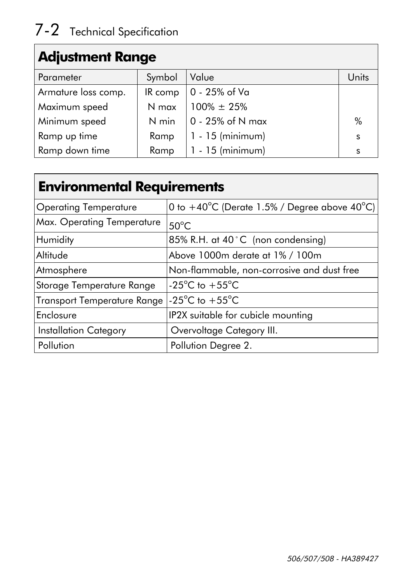### **Adjustment Range**

| Parameter           | Symbol  | Value                    | Units |
|---------------------|---------|--------------------------|-------|
| Armature loss comp. | IR comp | $\vert$ 0 - 25% of Va    |       |
| Maximum speed       | N max   | $100\% \pm 25\%$         |       |
| Minimum speed       | N min   | $\vert$ 0 - 25% of N max | $\%$  |
| Ramp up time        | Ramp    | $1 - 15$ (minimum)       | S     |
| Ramp down time      |         | Ramp $ 1 - 15$ (minimum) | S     |

### **Environmental Requirements**

| <b>Operating Temperature</b>       | $\left 0\right\rangle$ to $+40^{\circ}$ C (Derate 1.5% / Degree above $40^{\circ}$ C) $\left 0\right\rangle$ |
|------------------------------------|--------------------------------------------------------------------------------------------------------------|
| Max. Operating Temperature         | $50^{\circ}$ C                                                                                               |
| Humidity                           | 85% R.H. at 40°C (non condensing)                                                                            |
| Altitude                           | Above 1000m derate at 1% / 100m                                                                              |
| Atmosphere                         | Non-flammable, non-corrosive and dust free                                                                   |
| Storage Temperature Range          | $-25^{\circ}$ C to $+55^{\circ}$ C                                                                           |
| <b>Transport Temperature Range</b> | $-25^{\circ}$ C to $+55^{\circ}$ C                                                                           |
| Enclosure                          | IP2X suitable for cubicle mounting                                                                           |
| <b>Installation Category</b>       | Overvoltage Category III.                                                                                    |
| Pollution                          | Pollution Degree 2.                                                                                          |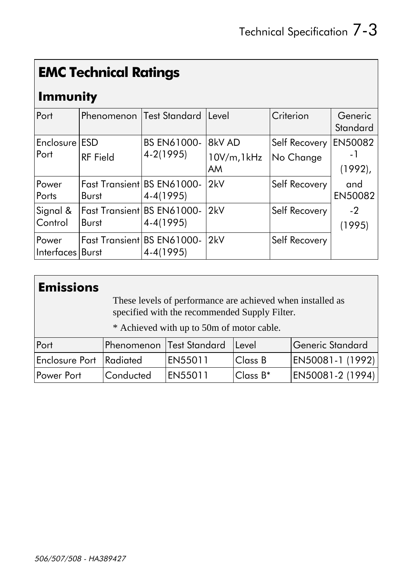### **EMC Technical Ratings**

#### **Immunity**

| Port               | <b>Phenomenon Test Standard</b>   |                    | Level       | Criterion     | Generic<br>Standard |
|--------------------|-----------------------------------|--------------------|-------------|---------------|---------------------|
|                    |                                   |                    |             |               |                     |
| Enclosure ESD      |                                   | <b>BS EN61000-</b> | 8kV AD      | Self Recovery | <b>EN50082</b>      |
| Port               | <b>RF</b> Field                   | $4-2(1995)$        | 10V/m, 1kHz | No Change     | – I                 |
|                    |                                   |                    | AM          |               | $(1992)$ ,          |
| Power              | <b>Fast Transient BS EN61000-</b> |                    | 2kV         | Self Recovery | and                 |
| Ports              | <b>Burst</b>                      | $4-4(1995)$        |             |               | <b>EN50082</b>      |
| Signal &           | Fast Transient BS EN61000-        |                    | 2kV         | Self Recovery | $-2$                |
| Control            | <b>Burst</b>                      | $4-4(1995)$        |             |               | (1995)              |
| Power              | Fast Transient BS EN61000-        |                    | 2kV         | Self Recovery |                     |
| Interfaces   Burst |                                   | $4-4(1995)$        |             |               |                     |

#### Emissions

These levels of performance are achieved when installed as specified with the recommended Supply Filter.

\* Achieved with up to 50m of motor cable.

| Port                           |                  | <b>IPhenomenon Test Standard</b> | <u>ILevel</u>  | Generic Standard |
|--------------------------------|------------------|----------------------------------|----------------|------------------|
| <b>Enclosure Port Radiated</b> |                  | EN55011                          | <b>Class B</b> | EN50081-1 (1992) |
| <b>Power Port</b>              | <b>Conducted</b> | EN55011                          | Class B*       | EN50081-2 (1994) |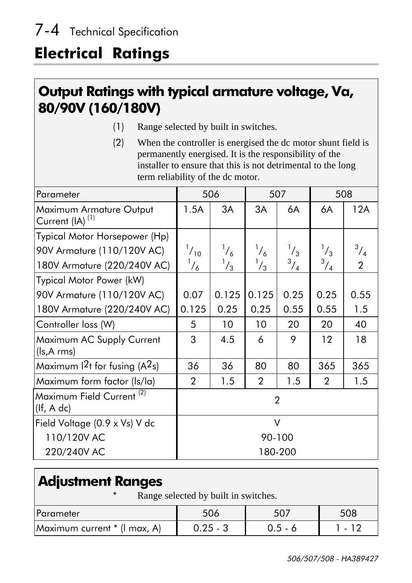### **Electrical Ratings**

#### Output Ratings with typical armature voltage, Va, 80/90V (160/180V)

- Range selected by built in switches.  $(1)$
- $(2)$ When the controller is energised the dc motor shunt field is permanently energised. It is the responsibility of the installer to ensure that this is not detrimental to the long term reliability of the dc motor.

| Parameter                                              | 506            |             | 507            |             | 508            |                |
|--------------------------------------------------------|----------------|-------------|----------------|-------------|----------------|----------------|
| Maximum Armature Output<br>Current (IA) <sup>(1)</sup> | 1.5A           | 3A          | 3A             | 6A          | 6A             | 12A            |
| Typical Motor Horsepower (Hp)                          |                |             |                |             |                |                |
| 90V Armature (110/120V AC)                             | $^{1}/_{10}$   | $^{1}/_{6}$ | $^{1}/_{6}$    | $^{1}/_{3}$ | $^{1}/_{3}$    | $^{3}/_{4}$    |
| 180V Armature (220/240V AC)                            | $^{1}/_{6}$    | $^{1}/_{3}$ | $^{1}/_{3}$    | $^{3}/_{4}$ | $\frac{3}{4}$  | $\overline{2}$ |
| Typical Motor Power (kW)                               |                |             |                |             |                |                |
| 90V Armature (110/120V AC)                             | 0.07           | 0.125       | 0.125          | 0.25        | 0.25           | 0.55           |
| 180V Armature (220/240V AC)                            | 0.125          | 0.25        | 0.25           | 0.55        | 0.55           | 1.5            |
| Controller loss (W)                                    | 5              | 10          | 10             | 20          | 20             | 40             |
| Maximum AC Supply Current<br>(ls,A rms)                | 3              | 4.5         | 6              | 9           | 12             | 18             |
| Maximum $2t$ for fusing (A <sup>2</sup> s)             | 36             | 36          | 80             | 80          | 365            | 365            |
| Maximum form factor (ls/la)                            | $\overline{2}$ | 1.5         | $\overline{2}$ | 1.5         | $\overline{2}$ | 1.5            |
| Maximum Field Current <sup>(2)</sup><br>(lf, A dc)     | $\overline{2}$ |             |                |             |                |                |
| Field Voltage (0.9 x Vs) V dc                          | $\vee$         |             |                |             |                |                |
| 110/120V AC                                            | 90-100         |             |                |             |                |                |
| 220/240V AC                                            |                |             |                | 180-200     |                |                |

#### **Adjustment Ranges**

Range selected by built in switches.

| <b>Parameter</b>             |            |           | 508          |
|------------------------------|------------|-----------|--------------|
| Maximum current * (I max, A) | $0.25 - 3$ | $0.5 - 6$ | $-1$ $\circ$ |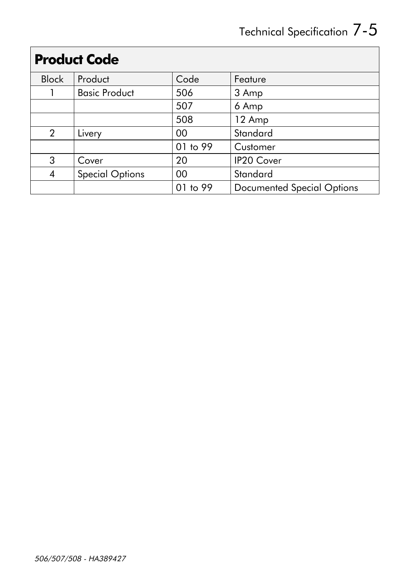# Technical Specification 7-5

|                | <b>Proguct Code</b>    |          |                                   |  |  |  |  |
|----------------|------------------------|----------|-----------------------------------|--|--|--|--|
| <b>Block</b>   | Product                | Code     | Feature                           |  |  |  |  |
|                | <b>Basic Product</b>   | 506      | 3 Amp                             |  |  |  |  |
|                |                        | 507      | 6 Amp                             |  |  |  |  |
|                |                        | 508      | 12 Amp                            |  |  |  |  |
| $\overline{2}$ | Livery                 | 00       | Standard                          |  |  |  |  |
|                |                        | 01 to 99 | Customer                          |  |  |  |  |
| 3              | Cover                  | 20       | <b>IP20 Cover</b>                 |  |  |  |  |
| 4              | <b>Special Options</b> | 00       | Standard                          |  |  |  |  |
|                |                        | 01 to 99 | <b>Documented Special Options</b> |  |  |  |  |

#### Draduct Cado